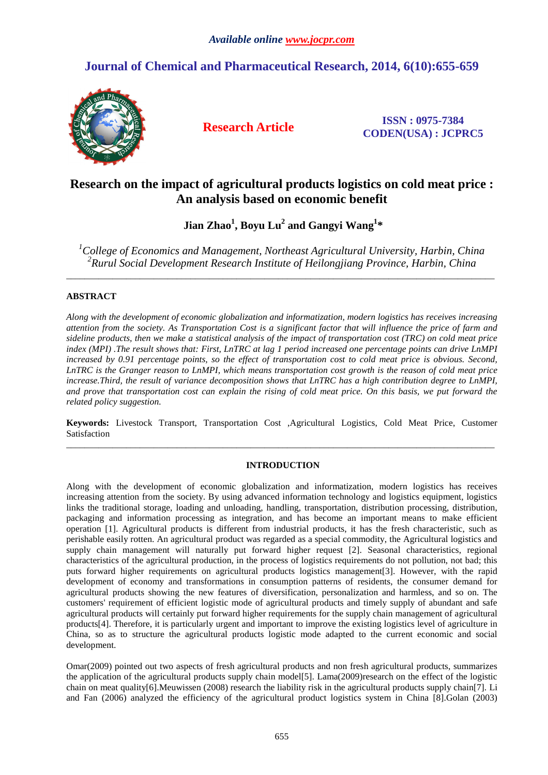# **Journal of Chemical and Pharmaceutical Research, 2014, 6(10):655-659**



**Research Article ISSN : 0975-7384 CODEN(USA) : JCPRC5**

# **Research on the impact of agricultural products logistics on cold meat price : An analysis based on economic benefit**

 **Jian Zhao<sup>1</sup> , Boyu Lu<sup>2</sup> and Gangyi Wang<sup>1</sup> \*** 

*<sup>1</sup>College of Economics and Management, Northeast Agricultural University, Harbin, China 2 Rurul Social Development Research Institute of Heilongjiang Province, Harbin, China*

 $\overline{a}$  , and the contribution of the contribution of the contribution of the contribution of the contribution of the contribution of the contribution of the contribution of the contribution of the contribution of the co

# **ABSTRACT**

*Along with the development of economic globalization and informatization, modern logistics has receives increasing attention from the society. As Transportation Cost is a significant factor that will influence the price of farm and sideline products, then we make a statistical analysis of the impact of transportation cost (TRC) on cold meat price index (MPI) .The result shows that: First, LnTRC at lag 1 period increased one percentage points can drive LnMPI* increased by 0.91 percentage points, so the effect of transportation cost to cold meat price is obvious. Second, *LnTRC is the Granger reason to LnMPI, which means transportation cost growth is the reason of cold meat price increase.Third, the result of variance decomposition shows that LnTRC has a high contribution degree to LnMPI, and prove that transportation cost can explain the rising of cold meat price. On this basis, we put forward the related policy suggestion.* 

**Keywords:** Livestock Transport, Transportation Cost ,Agricultural Logistics, Cold Meat Price, Customer Satisfaction \_\_\_\_\_\_\_\_\_\_\_\_\_\_\_\_\_\_\_\_\_\_\_\_\_\_\_\_\_\_\_\_\_\_\_\_\_\_\_\_\_\_\_\_\_\_\_\_\_\_\_\_\_\_\_\_\_\_\_\_\_\_\_\_\_\_\_\_\_\_\_\_\_\_\_\_\_\_\_\_\_\_\_\_\_\_\_\_\_\_\_\_\_

# **INTRODUCTION**

Along with the development of economic globalization and informatization, modern logistics has receives increasing attention from the society. By using advanced information technology and logistics equipment, logistics links the traditional storage, loading and unloading, handling, transportation, distribution processing, distribution, packaging and information processing as integration, and has become an important means to make efficient operation [1]. Agricultural products is different from industrial products, it has the fresh characteristic, such as perishable easily rotten. An agricultural product was regarded as a special commodity, the Agricultural logistics and supply chain management will naturally put forward higher request [2]. Seasonal characteristics, regional characteristics of the agricultural production, in the process of logistics requirements do not pollution, not bad; this puts forward higher requirements on agricultural products logistics management[3]. However, with the rapid development of economy and transformations in consumption patterns of residents, the consumer demand for agricultural products showing the new features of diversification, personalization and harmless, and so on. The customers' requirement of efficient logistic mode of agricultural products and timely supply of abundant and safe agricultural products will certainly put forward higher requirements for the supply chain management of agricultural products[4]. Therefore, it is particularly urgent and important to improve the existing logistics level of agriculture in China, so as to structure the agricultural products logistic mode adapted to the current economic and social development.

Omar(2009) pointed out two aspects of fresh agricultural products and non fresh agricultural products, summarizes the application of the agricultural products supply chain model[5]. Lama(2009)research on the effect of the logistic chain on meat quality[6].Meuwissen (2008) research the liability risk in the agricultural products supply chain[7]. Li and Fan (2006) analyzed the efficiency of the agricultural product logistics system in China [8].Golan (2003)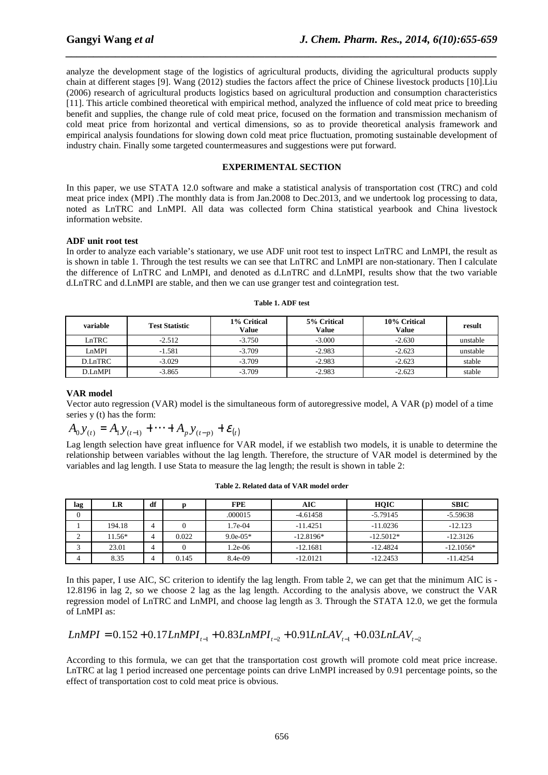analyze the development stage of the logistics of agricultural products, dividing the agricultural products supply chain at different stages [9]. Wang (2012) studies the factors affect the price of Chinese livestock products [10].Liu (2006) research of agricultural products logistics based on agricultural production and consumption characteristics [11]. This article combined theoretical with empirical method, analyzed the influence of cold meat price to breeding benefit and supplies, the change rule of cold meat price, focused on the formation and transmission mechanism of cold meat price from horizontal and vertical dimensions, so as to provide theoretical analysis framework and empirical analysis foundations for slowing down cold meat price fluctuation, promoting sustainable development of industry chain. Finally some targeted countermeasures and suggestions were put forward.

*\_\_\_\_\_\_\_\_\_\_\_\_\_\_\_\_\_\_\_\_\_\_\_\_\_\_\_\_\_\_\_\_\_\_\_\_\_\_\_\_\_\_\_\_\_\_\_\_\_\_\_\_\_\_\_\_\_\_\_\_\_\_\_\_\_\_\_\_\_\_\_\_\_\_\_\_\_\_*

#### **EXPERIMENTAL SECTION**

In this paper, we use STATA 12.0 software and make a statistical analysis of transportation cost (TRC) and cold meat price index (MPI) .The monthly data is from Jan.2008 to Dec.2013, and we undertook log processing to data, noted as LnTRC and LnMPI. All data was collected form China statistical yearbook and China livestock information website.

### **ADF unit root test**

In order to analyze each variable's stationary, we use ADF unit root test to inspect LnTRC and LnMPI, the result as is shown in table 1. Through the test results we can see that LnTRC and LnMPI are non-stationary. Then I calculate the difference of LnTRC and LnMPI, and denoted as d.LnTRC and d.LnMPI, results show that the two variable d.LnTRC and d.LnMPI are stable, and then we can use granger test and cointegration test.

| variable | <b>Test Statistic</b> | 1% Critical<br>Value | 5% Critical<br><b>Value</b> | 10% Critical<br><b>Value</b> | result   |
|----------|-----------------------|----------------------|-----------------------------|------------------------------|----------|
| LnTRC    | $-2.512$              | $-3.750$             | $-3.000$                    | $-2.630$                     | unstable |
| LnMPI    | $-1.581$              | $-3.709$             | $-2.983$                    | $-2.623$                     | unstable |
| D.LnTRC  | $-3.029$              | $-3.709$             | $-2.983$                    | $-2.623$                     | stable   |
| D.LnMPI  | $-3.865$              | $-3.709$             | $-2.983$                    | $-2.623$                     | stable   |

#### **Table 1. ADF test**

## **VAR model**

Vector auto regression (VAR) model is the simultaneous form of autoregressive model, A VAR (p) model of a time series y (t) has the form:

$$
A_0 y_{(t)} = A_1 y_{(t-1)} + \cdots + A_p y_{(t-p)} + \varepsilon_{(t)}
$$

Lag length selection have great influence for VAR model, if we establish two models, it is unable to determine the relationship between variables without the lag length. Therefore, the structure of VAR model is determined by the variables and lag length. I use Stata to measure the lag length; the result is shown in table 2:

| lag          | LR     | df |       | <b>FPE</b> | AIC         | HOIC        | <b>SBIC</b> |
|--------------|--------|----|-------|------------|-------------|-------------|-------------|
| $\mathbf{0}$ |        |    |       | .000015    | $-4.61458$  | $-5.79145$  | $-5.59638$  |
|              | 194.18 | 4  |       | 1.7e-04    | $-11.4251$  | $-11.0236$  | $-12.123$   |
| ∸            | 11.56* |    | 0.022 | $9.0e-05*$ | $-12.8196*$ | $-12.5012*$ | $-12.3126$  |
|              | 23.01  | 4  |       | $1.2e-06$  | $-12.1681$  | $-12.4824$  | $-12.1056*$ |
| 4            | 8.35   |    | 0.145 | 8.4e-09    | $-12.0121$  | $-12.2453$  | $-11.4254$  |

**Table 2. Related data of VAR model order** 

In this paper, I use AIC, SC criterion to identify the lag length. From table 2, we can get that the minimum AIC is -12.8196 in lag 2, so we choose 2 lag as the lag length. According to the analysis above, we construct the VAR regression model of LnTRC and LnMPI, and choose lag length as 3. Through the STATA 12.0, we get the formula of LnMPI as:

$$
LnMPI = 0.152 + 0.17LnMPI_{t-1} + 0.83LnMPI_{t-2} + 0.91LnLAV_{t-1} + 0.03LnLAV_{t-2}
$$

According to this formula, we can get that the transportation cost growth will promote cold meat price increase. LnTRC at lag 1 period increased one percentage points can drive LnMPI increased by 0.91 percentage points, so the effect of transportation cost to cold meat price is obvious.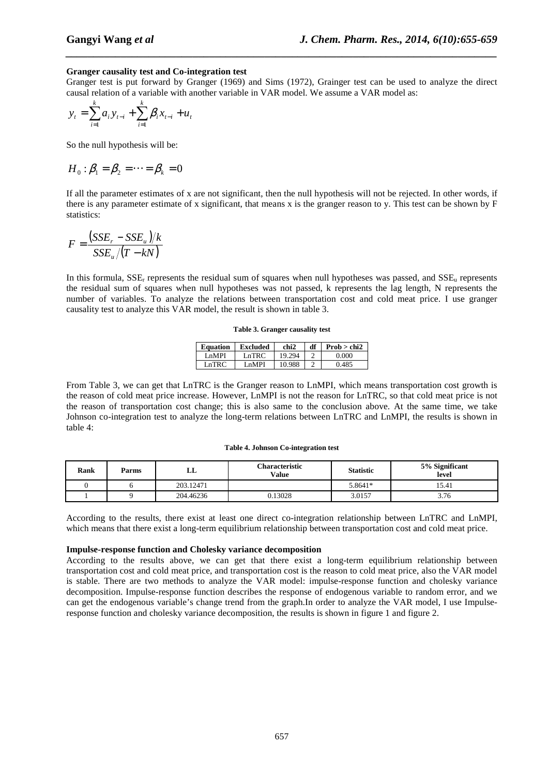#### **Granger causality test and Co-integration test**

Granger test is put forward by Granger (1969) and Sims (1972), Grainger test can be used to analyze the direct causal relation of a variable with another variable in VAR model. We assume a VAR model as:

*\_\_\_\_\_\_\_\_\_\_\_\_\_\_\_\_\_\_\_\_\_\_\_\_\_\_\_\_\_\_\_\_\_\_\_\_\_\_\_\_\_\_\_\_\_\_\_\_\_\_\_\_\_\_\_\_\_\_\_\_\_\_\_\_\_\_\_\_\_\_\_\_\_\_\_\_\_\_*

$$
y_{t} = \sum_{i=1}^{k} a_{i} y_{t-i} + \sum_{i=1}^{k} \beta_{i} x_{t-i} + u_{t}
$$

So the null hypothesis will be:

$$
H_0: \beta_1 = \beta_2 = \cdots = \beta_k = 0
$$

If all the parameter estimates of x are not significant, then the null hypothesis will not be rejected. In other words, if there is any parameter estimate of x significant, that means x is the granger reason to y. This test can be shown by F statistics:

$$
F = \frac{(SSE_r - SSE_u)/k}{SSE_u/(T - kN)}
$$

In this formula,  $SSE_r$  represents the residual sum of squares when null hypotheses was passed, and  $SSE_u$  represents the residual sum of squares when null hypotheses was not passed, k represents the lag length, N represents the number of variables. To analyze the relations between transportation cost and cold meat price. I use granger causality test to analyze this VAR model, the result is shown in table 3.

#### **Table 3. Granger causality test**

| <b>Equation</b> | Excluded          | chi2   | df | Prob > chi2 |
|-----------------|-------------------|--------|----|-------------|
| I nMPI          | Ln $\mathrm{TRC}$ | 19.294 |    | 0.000       |
| I nTRC          | I nMPI            | 10.988 |    | 0.485       |

From Table 3, we can get that LnTRC is the Granger reason to LnMPI, which means transportation cost growth is the reason of cold meat price increase. However, LnMPI is not the reason for LnTRC, so that cold meat price is not the reason of transportation cost change; this is also same to the conclusion above. At the same time, we take Johnson co-integration test to analyze the long-term relations between LnTRC and LnMPI, the results is shown in table 4:

#### **Table 4. Johnson Co-integration test**

| Rank | Parms | ப         | <b>Characteristic</b><br>Value | <b>Statistic</b> | 5% Significant<br>level |
|------|-------|-----------|--------------------------------|------------------|-------------------------|
|      |       | 203.12471 |                                | 5.8641*          | 15.41                   |
|      |       | 204.46236 | 0.13028                        | 3.0157           | 3.76                    |

According to the results, there exist at least one direct co-integration relationship between LnTRC and LnMPI, which means that there exist a long-term equilibrium relationship between transportation cost and cold meat price.

#### **Impulse-response function and Cholesky variance decomposition**

According to the results above, we can get that there exist a long-term equilibrium relationship between transportation cost and cold meat price, and transportation cost is the reason to cold meat price, also the VAR model is stable. There are two methods to analyze the VAR model: impulse-response function and cholesky variance decomposition. Impulse-response function describes the response of endogenous variable to random error, and we can get the endogenous variable's change trend from the graph.In order to analyze the VAR model, I use Impulseresponse function and cholesky variance decomposition, the results is shown in figure 1 and figure 2.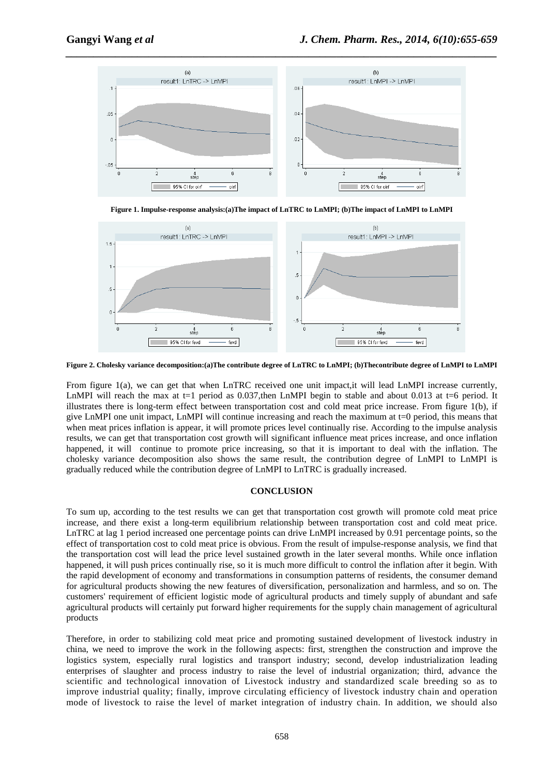

**Figure 1. Impulse-response analysis:(a)The impact of LnTRC to LnMPI; (b)The impact of LnMPI to LnMPI** 



**Figure 2. Cholesky variance decomposition:(a)The contribute degree of LnTRC to LnMPI; (b)Thecontribute degree of LnMPI to LnMPI** 

From figure 1(a), we can get that when LnTRC received one unit impact,it will lead LnMPI increase currently, LnMPI will reach the max at  $t=1$  period as 0.037, then LnMPI begin to stable and about 0.013 at  $t=6$  period. It illustrates there is long-term effect between transportation cost and cold meat price increase. From figure 1(b), if give LnMPI one unit impact, LnMPI will continue increasing and reach the maximum at t=0 period, this means that when meat prices inflation is appear, it will promote prices level continually rise. According to the impulse analysis results, we can get that transportation cost growth will significant influence meat prices increase, and once inflation happened, it will continue to promote price increasing, so that it is important to deal with the inflation. The cholesky variance decomposition also shows the same result, the contribution degree of LnMPI to LnMPI is gradually reduced while the contribution degree of LnMPI to LnTRC is gradually increased.

## **CONCLUSION**

To sum up, according to the test results we can get that transportation cost growth will promote cold meat price increase, and there exist a long-term equilibrium relationship between transportation cost and cold meat price. LnTRC at lag 1 period increased one percentage points can drive LnMPI increased by 0.91 percentage points, so the effect of transportation cost to cold meat price is obvious. From the result of impulse-response analysis, we find that the transportation cost will lead the price level sustained growth in the later several months. While once inflation happened, it will push prices continually rise, so it is much more difficult to control the inflation after it begin. With the rapid development of economy and transformations in consumption patterns of residents, the consumer demand for agricultural products showing the new features of diversification, personalization and harmless, and so on. The customers' requirement of efficient logistic mode of agricultural products and timely supply of abundant and safe agricultural products will certainly put forward higher requirements for the supply chain management of agricultural products

Therefore, in order to stabilizing cold meat price and promoting sustained development of livestock industry in china, we need to improve the work in the following aspects: first, strengthen the construction and improve the logistics system, especially rural logistics and transport industry; second, develop industrialization leading enterprises of slaughter and process industry to raise the level of industrial organization; third, advance the scientific and technological innovation of Livestock industry and standardized scale breeding so as to improve industrial quality; finally, improve circulating efficiency of livestock industry chain and operation mode of livestock to raise the level of market integration of industry chain. In addition, we should also